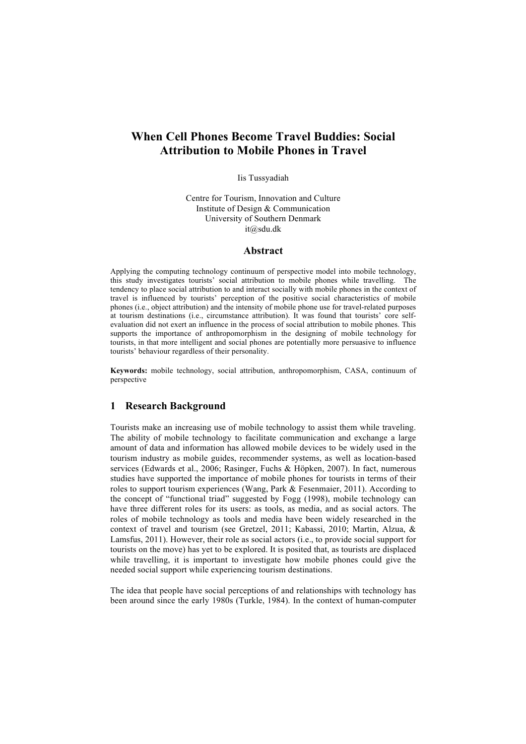# **When Cell Phones Become Travel Buddies: Social Attribution to Mobile Phones in Travel**

Iis Tussyadiah

Centre for Tourism, Innovation and Culture Institute of Design & Communication University of Southern Denmark it@sdu.dk

#### **Abstract**

Applying the computing technology continuum of perspective model into mobile technology, this study investigates tourists' social attribution to mobile phones while travelling. The tendency to place social attribution to and interact socially with mobile phones in the context of travel is influenced by tourists' perception of the positive social characteristics of mobile phones (i.e., object attribution) and the intensity of mobile phone use for travel-related purposes at tourism destinations (i.e., circumstance attribution). It was found that tourists' core selfevaluation did not exert an influence in the process of social attribution to mobile phones. This supports the importance of anthropomorphism in the designing of mobile technology for tourists, in that more intelligent and social phones are potentially more persuasive to influence tourists' behaviour regardless of their personality.

**Keywords:** mobile technology, social attribution, anthropomorphism, CASA, continuum of perspective

### **1 Research Background**

Tourists make an increasing use of mobile technology to assist them while traveling. The ability of mobile technology to facilitate communication and exchange a large amount of data and information has allowed mobile devices to be widely used in the tourism industry as mobile guides, recommender systems, as well as location-based services (Edwards et al., 2006; Rasinger, Fuchs & Höpken, 2007). In fact, numerous studies have supported the importance of mobile phones for tourists in terms of their roles to support tourism experiences (Wang, Park & Fesenmaier, 2011). According to the concept of "functional triad" suggested by Fogg (1998), mobile technology can have three different roles for its users; as tools, as media, and as social actors. The roles of mobile technology as tools and media have been widely researched in the context of travel and tourism (see Gretzel, 2011; Kabassi, 2010; Martin, Alzua, & Lamsfus, 2011). However, their role as social actors (i.e., to provide social support for tourists on the move) has yet to be explored. It is posited that, as tourists are displaced while travelling, it is important to investigate how mobile phones could give the needed social support while experiencing tourism destinations.

The idea that people have social perceptions of and relationships with technology has been around since the early 1980s (Turkle, 1984). In the context of human-computer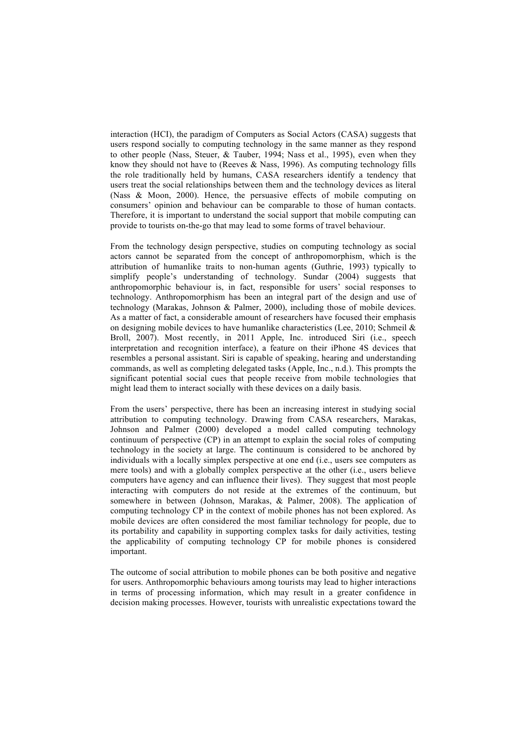interaction (HCI), the paradigm of Computers as Social Actors (CASA) suggests that users respond socially to computing technology in the same manner as they respond to other people (Nass, Steuer, & Tauber, 1994; Nass et al., 1995), even when they know they should not have to (Reeves  $& Nass, 1996$ ). As computing technology fills the role traditionally held by humans, CASA researchers identify a tendency that users treat the social relationships between them and the technology devices as literal (Nass & Moon, 2000). Hence, the persuasive effects of mobile computing on consumers' opinion and behaviour can be comparable to those of human contacts. Therefore, it is important to understand the social support that mobile computing can provide to tourists on-the-go that may lead to some forms of travel behaviour.

From the technology design perspective, studies on computing technology as social actors cannot be separated from the concept of anthropomorphism, which is the attribution of humanlike traits to non-human agents (Guthrie, 1993) typically to simplify people's understanding of technology. Sundar (2004) suggests that anthropomorphic behaviour is, in fact, responsible for users' social responses to technology. Anthropomorphism has been an integral part of the design and use of technology (Marakas, Johnson & Palmer, 2000), including those of mobile devices. As a matter of fact, a considerable amount of researchers have focused their emphasis on designing mobile devices to have humanlike characteristics (Lee, 2010; Schmeil  $\&$ Broll, 2007). Most recently, in 2011 Apple, Inc. introduced Siri (i.e., speech interpretation and recognition interface), a feature on their iPhone 4S devices that resembles a personal assistant. Siri is capable of speaking, hearing and understanding commands, as well as completing delegated tasks (Apple, Inc., n.d.). This prompts the significant potential social cues that people receive from mobile technologies that might lead them to interact socially with these devices on a daily basis.

From the users' perspective, there has been an increasing interest in studying social attribution to computing technology. Drawing from CASA researchers, Marakas, Johnson and Palmer (2000) developed a model called computing technology continuum of perspective (CP) in an attempt to explain the social roles of computing technology in the society at large. The continuum is considered to be anchored by individuals with a locally simplex perspective at one end (i.e., users see computers as mere tools) and with a globally complex perspective at the other (i.e., users believe computers have agency and can influence their lives). They suggest that most people interacting with computers do not reside at the extremes of the continuum, but somewhere in between (Johnson, Marakas, & Palmer, 2008). The application of computing technology CP in the context of mobile phones has not been explored. As mobile devices are often considered the most familiar technology for people, due to its portability and capability in supporting complex tasks for daily activities, testing the applicability of computing technology CP for mobile phones is considered important.

The outcome of social attribution to mobile phones can be both positive and negative for users. Anthropomorphic behaviours among tourists may lead to higher interactions in terms of processing information, which may result in a greater confidence in decision making processes. However, tourists with unrealistic expectations toward the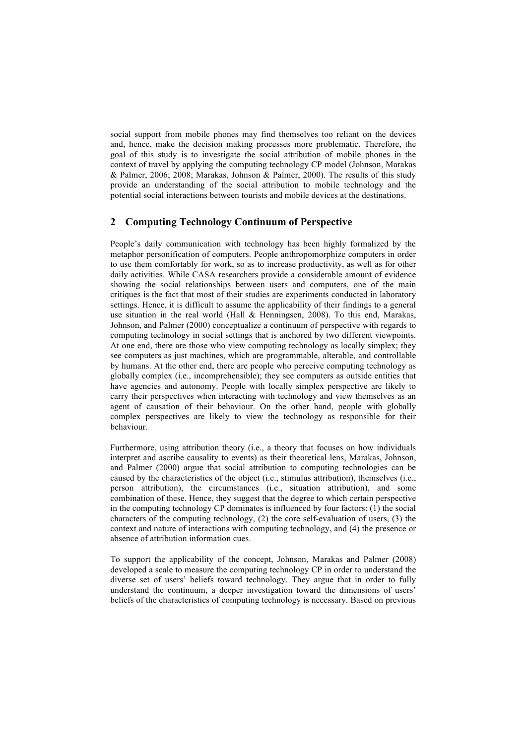social support from mobile phones may find themselves too reliant on the devices and, hence, make the decision making processes more problematic. Therefore, the goal of this study is to investigate the social attribution of mobile phones in the context of travel by applying the computing technology CP model (Johnson, Marakas & Palmer, 2006; 2008; Marakas, Johnson & Palmer, 2000). The results of this study provide an understanding of the social attribution to mobile technology and the potential social interactions between tourists and mobile devices at the destinations.

# **2 Computing Technology Continuum of Perspective**

People's daily communication with technology has been highly formalized by the metaphor personification of computers. People anthropomorphize computers in order to use them comfortably for work, so as to increase productivity, as well as for other daily activities. While CASA researchers provide a considerable amount of evidence showing the social relationships between users and computers, one of the main critiques is the fact that most of their studies are experiments conducted in laboratory settings. Hence, it is difficult to assume the applicability of their findings to a general use situation in the real world (Hall  $\&$  Henningsen, 2008). To this end, Marakas, Johnson, and Palmer (2000) conceptualize a continuum of perspective with regards to computing technology in social settings that is anchored by two different viewpoints. At one end, there are those who view computing technology as locally simplex; they see computers as just machines, which are programmable, alterable, and controllable by humans. At the other end, there are people who perceive computing technology as globally complex (i.e., incomprehensible); they see computers as outside entities that have agencies and autonomy. People with locally simplex perspective are likely to carry their perspectives when interacting with technology and view themselves as an agent of causation of their behaviour. On the other hand, people with globally complex perspectives are likely to view the technology as responsible for their behaviour.

Furthermore, using attribution theory (i.e., a theory that focuses on how individuals interpret and ascribe causality to events) as their theoretical lens, Marakas, Johnson, and Palmer (2000) argue that social attribution to computing technologies can be caused by the characteristics of the object (i.e., stimulus attribution), themselves (i.e., person attribution), the circumstances (i.e., situation attribution), and some combination of these. Hence, they suggest that the degree to which certain perspective in the computing technology CP dominates is influenced by four factors: (1) the social characters of the computing technology, (2) the core self-evaluation of users, (3) the context and nature of interactions with computing technology, and (4) the presence or absence of attribution information cues.

To support the applicability of the concept, Johnson, Marakas and Palmer (2008) developed a scale to measure the computing technology CP in order to understand the diverse set of users' beliefs toward technology. They argue that in order to fully understand the continuum, a deeper investigation toward the dimensions of users' beliefs of the characteristics of computing technology is necessary. Based on previous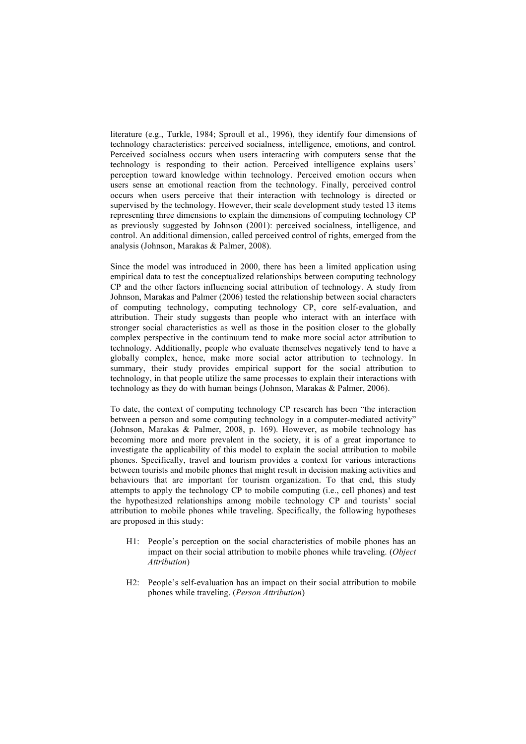literature (e.g., Turkle, 1984; Sproull et al., 1996), they identify four dimensions of technology characteristics: perceived socialness, intelligence, emotions, and control. Perceived socialness occurs when users interacting with computers sense that the technology is responding to their action. Perceived intelligence explains users' perception toward knowledge within technology. Perceived emotion occurs when users sense an emotional reaction from the technology. Finally, perceived control occurs when users perceive that their interaction with technology is directed or supervised by the technology. However, their scale development study tested 13 items representing three dimensions to explain the dimensions of computing technology CP as previously suggested by Johnson (2001): perceived socialness, intelligence, and control. An additional dimension, called perceived control of rights, emerged from the analysis (Johnson, Marakas & Palmer, 2008).

Since the model was introduced in 2000, there has been a limited application using empirical data to test the conceptualized relationships between computing technology CP and the other factors influencing social attribution of technology. A study from Johnson, Marakas and Palmer (2006) tested the relationship between social characters of computing technology, computing technology CP, core self-evaluation, and attribution. Their study suggests than people who interact with an interface with stronger social characteristics as well as those in the position closer to the globally complex perspective in the continuum tend to make more social actor attribution to technology. Additionally, people who evaluate themselves negatively tend to have a globally complex, hence, make more social actor attribution to technology. In summary, their study provides empirical support for the social attribution to technology, in that people utilize the same processes to explain their interactions with technology as they do with human beings (Johnson, Marakas & Palmer, 2006).

To date, the context of computing technology CP research has been "the interaction between a person and some computing technology in a computer-mediated activity" (Johnson, Marakas & Palmer, 2008, p. 169). However, as mobile technology has becoming more and more prevalent in the society, it is of a great importance to investigate the applicability of this model to explain the social attribution to mobile phones. Specifically, travel and tourism provides a context for various interactions between tourists and mobile phones that might result in decision making activities and behaviours that are important for tourism organization. To that end, this study attempts to apply the technology CP to mobile computing (i.e., cell phones) and test the hypothesized relationships among mobile technology CP and tourists' social attribution to mobile phones while traveling. Specifically, the following hypotheses are proposed in this study:

- H1: People's perception on the social characteristics of mobile phones has an impact on their social attribution to mobile phones while traveling. (*Object Attribution*)
- H2: People's self-evaluation has an impact on their social attribution to mobile phones while traveling. (*Person Attribution*)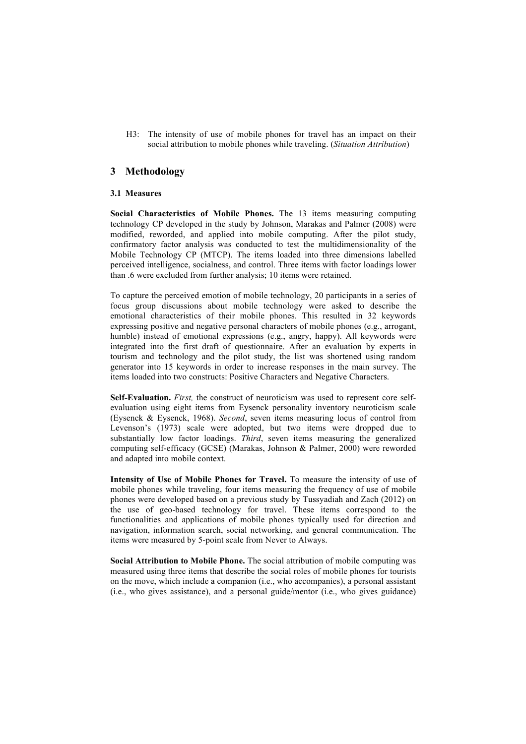H3: The intensity of use of mobile phones for travel has an impact on their social attribution to mobile phones while traveling. (*Situation Attribution*)

# **3 Methodology**

#### **3.1 Measures**

**Social Characteristics of Mobile Phones.** The 13 items measuring computing technology CP developed in the study by Johnson, Marakas and Palmer (2008) were modified, reworded, and applied into mobile computing. After the pilot study, confirmatory factor analysis was conducted to test the multidimensionality of the Mobile Technology CP (MTCP). The items loaded into three dimensions labelled perceived intelligence, socialness, and control. Three items with factor loadings lower than .6 were excluded from further analysis; 10 items were retained.

To capture the perceived emotion of mobile technology, 20 participants in a series of focus group discussions about mobile technology were asked to describe the emotional characteristics of their mobile phones. This resulted in 32 keywords expressing positive and negative personal characters of mobile phones (e.g., arrogant, humble) instead of emotional expressions (e.g., angry, happy). All keywords were integrated into the first draft of questionnaire. After an evaluation by experts in tourism and technology and the pilot study, the list was shortened using random generator into 15 keywords in order to increase responses in the main survey. The items loaded into two constructs: Positive Characters and Negative Characters.

**Self-Evaluation.** *First,* the construct of neuroticism was used to represent core selfevaluation using eight items from Eysenck personality inventory neuroticism scale (Eysenck & Eysenck, 1968). *Second*, seven items measuring locus of control from Levenson's (1973) scale were adopted, but two items were dropped due to substantially low factor loadings. *Third*, seven items measuring the generalized computing self-efficacy (GCSE) (Marakas, Johnson & Palmer, 2000) were reworded and adapted into mobile context.

**Intensity of Use of Mobile Phones for Travel.** To measure the intensity of use of mobile phones while traveling, four items measuring the frequency of use of mobile phones were developed based on a previous study by Tussyadiah and Zach (2012) on the use of geo-based technology for travel. These items correspond to the functionalities and applications of mobile phones typically used for direction and navigation, information search, social networking, and general communication. The items were measured by 5-point scale from Never to Always.

**Social Attribution to Mobile Phone.** The social attribution of mobile computing was measured using three items that describe the social roles of mobile phones for tourists on the move, which include a companion (i.e., who accompanies), a personal assistant (i.e., who gives assistance), and a personal guide/mentor (i.e., who gives guidance)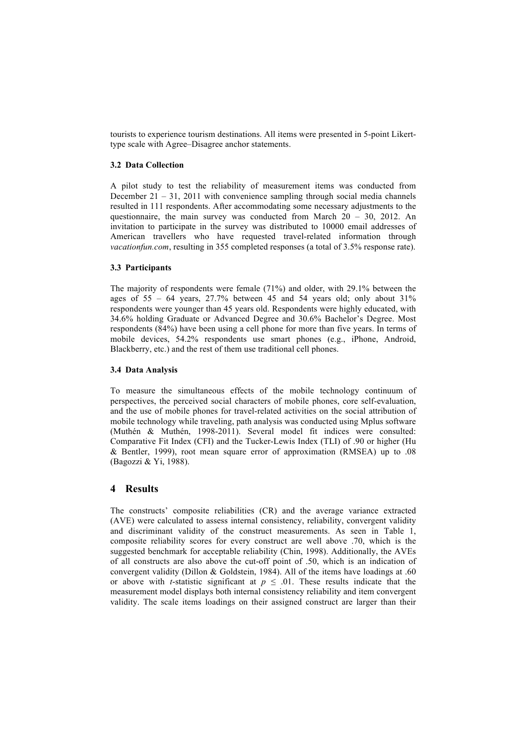tourists to experience tourism destinations. All items were presented in 5-point Likerttype scale with Agree–Disagree anchor statements.

#### **3.2 Data Collection**

A pilot study to test the reliability of measurement items was conducted from December 21 – 31, 2011 with convenience sampling through social media channels resulted in 111 respondents. After accommodating some necessary adjustments to the questionnaire, the main survey was conducted from March 20 – 30, 2012. An invitation to participate in the survey was distributed to 10000 email addresses of American travellers who have requested travel-related information through *vacationfun.com*, resulting in 355 completed responses (a total of 3.5% response rate).

#### **3.3 Participants**

The majority of respondents were female (71%) and older, with 29.1% between the ages of  $55 - 64$  years,  $27.7\%$  between 45 and 54 years old; only about  $31\%$ respondents were younger than 45 years old. Respondents were highly educated, with 34.6% holding Graduate or Advanced Degree and 30.6% Bachelor's Degree. Most respondents (84%) have been using a cell phone for more than five years. In terms of mobile devices, 54.2% respondents use smart phones (e.g., iPhone, Android, Blackberry, etc.) and the rest of them use traditional cell phones.

#### **3.4 Data Analysis**

To measure the simultaneous effects of the mobile technology continuum of perspectives, the perceived social characters of mobile phones, core self-evaluation, and the use of mobile phones for travel-related activities on the social attribution of mobile technology while traveling, path analysis was conducted using Mplus software (Muthén & Muthén, 1998-2011). Several model fit indices were consulted: Comparative Fit Index (CFI) and the Tucker-Lewis Index (TLI) of .90 or higher (Hu & Bentler, 1999), root mean square error of approximation (RMSEA) up to .08 (Bagozzi & Yi, 1988).

### **4 Results**

The constructs' composite reliabilities (CR) and the average variance extracted (AVE) were calculated to assess internal consistency, reliability, convergent validity and discriminant validity of the construct measurements. As seen in Table 1, composite reliability scores for every construct are well above .70, which is the suggested benchmark for acceptable reliability (Chin, 1998). Additionally, the AVEs of all constructs are also above the cut-off point of .50, which is an indication of convergent validity (Dillon & Goldstein, 1984). All of the items have loadings at .60 or above with *t*-statistic significant at  $p \leq .01$ . These results indicate that the measurement model displays both internal consistency reliability and item convergent validity. The scale items loadings on their assigned construct are larger than their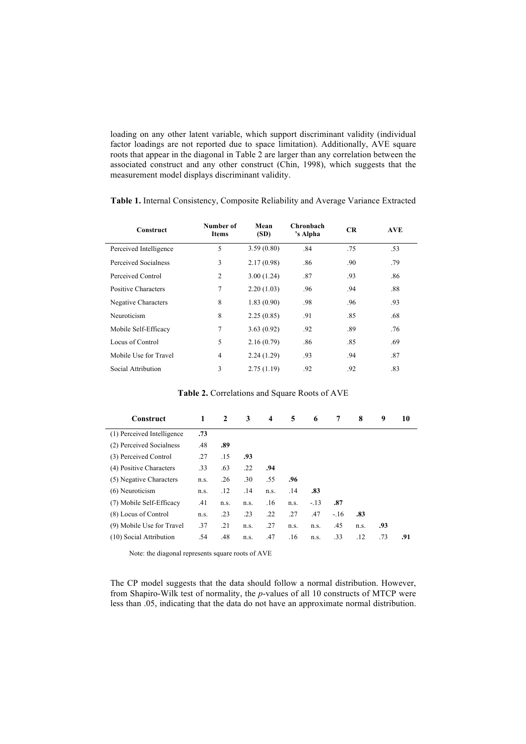loading on any other latent variable, which support discriminant validity (individual factor loadings are not reported due to space limitation). Additionally, AVE square roots that appear in the diagonal in Table 2 are larger than any correlation between the associated construct and any other construct (Chin, 1998), which suggests that the measurement model displays discriminant validity.

| Construct                  | Number of<br><b>Items</b> | Mean<br>(SD) | Chronbach<br>'s Alpha | CR. | <b>AVE</b> |  |
|----------------------------|---------------------------|--------------|-----------------------|-----|------------|--|
| Perceived Intelligence     | 5                         | 3.59(0.80)   | .84                   | .75 | .53        |  |
| Perceived Socialness       | 3                         | 2.17(0.98)   | .86                   | .90 | .79        |  |
| Perceived Control          | $\overline{2}$            | 3.00(1.24)   | .87                   | .93 | .86        |  |
| Positive Characters        | 7                         | 2.20(1.03)   | .96                   | .94 | .88        |  |
| <b>Negative Characters</b> | 8                         | 1.83(0.90)   | .98                   | .96 | .93        |  |
| Neuroticism                | 8                         | 2.25(0.85)   | .91                   | .85 | .68        |  |
| Mobile Self-Efficacy       | 7                         | 3.63(0.92)   | .92                   | .89 | .76        |  |
| Locus of Control           | 5                         | 2.16(0.79)   | .86                   | .85 | .69        |  |
| Mobile Use for Travel      | 4                         | 2.24(1.29)   | .93                   | .94 | .87        |  |
| Social Attribution         | 3                         | 2.75(1.19)   | .92                   | .92 | .83        |  |

**Table 1.** Internal Consistency, Composite Reliability and Average Variance Extracted

**Table 2.** Correlations and Square Roots of AVE

| Construct                  | 1    | 2    | 3    | $\overline{\mathbf{4}}$ | 5    | 6      | 7      | 8    | 9   | 10  |
|----------------------------|------|------|------|-------------------------|------|--------|--------|------|-----|-----|
| (1) Perceived Intelligence | .73  |      |      |                         |      |        |        |      |     |     |
| (2) Perceived Socialness   | .48  | .89  |      |                         |      |        |        |      |     |     |
| (3) Perceived Control      | .27  | .15  | .93  |                         |      |        |        |      |     |     |
| (4) Positive Characters    | .33  | .63  | .22  | .94                     |      |        |        |      |     |     |
| (5) Negative Characters    | n.s. | .26  | .30  | .55                     | .96  |        |        |      |     |     |
| (6) Neuroticism            | n.s. | .12  | .14  | n.s.                    | .14  | .83    |        |      |     |     |
| (7) Mobile Self-Efficacy   | .41  | n.s. | n.s. | .16                     | n.s. | $-.13$ | .87    |      |     |     |
| (8) Locus of Control       | n.s. | .23  | .23  | .22                     | .27  | .47    | $-.16$ | .83  |     |     |
| (9) Mobile Use for Travel  | .37  | .21  | n.s. | .27                     | n.s. | n.s.   | .45    | n.s. | .93 |     |
| (10) Social Attribution    | .54  | .48  | n.s. | .47                     | .16  | n.s.   | .33    | .12  | .73 | .91 |

Note: the diagonal represents square roots of AVE

The CP model suggests that the data should follow a normal distribution. However, from Shapiro-Wilk test of normality, the *p*-values of all 10 constructs of MTCP were less than .05, indicating that the data do not have an approximate normal distribution.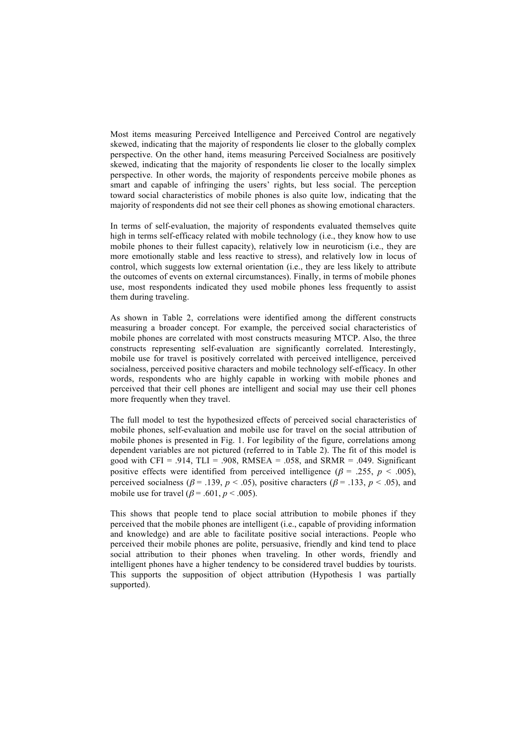Most items measuring Perceived Intelligence and Perceived Control are negatively skewed, indicating that the majority of respondents lie closer to the globally complex perspective. On the other hand, items measuring Perceived Socialness are positively skewed, indicating that the majority of respondents lie closer to the locally simplex perspective. In other words, the majority of respondents perceive mobile phones as smart and capable of infringing the users' rights, but less social. The perception toward social characteristics of mobile phones is also quite low, indicating that the majority of respondents did not see their cell phones as showing emotional characters.

In terms of self-evaluation, the majority of respondents evaluated themselves quite high in terms self-efficacy related with mobile technology (i.e., they know how to use mobile phones to their fullest capacity), relatively low in neuroticism (i.e., they are more emotionally stable and less reactive to stress), and relatively low in locus of control, which suggests low external orientation (i.e., they are less likely to attribute the outcomes of events on external circumstances). Finally, in terms of mobile phones use, most respondents indicated they used mobile phones less frequently to assist them during traveling.

As shown in Table 2, correlations were identified among the different constructs measuring a broader concept. For example, the perceived social characteristics of mobile phones are correlated with most constructs measuring MTCP. Also, the three constructs representing self-evaluation are significantly correlated. Interestingly, mobile use for travel is positively correlated with perceived intelligence, perceived socialness, perceived positive characters and mobile technology self-efficacy. In other words, respondents who are highly capable in working with mobile phones and perceived that their cell phones are intelligent and social may use their cell phones more frequently when they travel.

The full model to test the hypothesized effects of perceived social characteristics of mobile phones, self-evaluation and mobile use for travel on the social attribution of mobile phones is presented in Fig. 1. For legibility of the figure, correlations among dependent variables are not pictured (referred to in Table 2). The fit of this model is good with CFI = .914, TLI = .908, RMSEA = .058, and SRMR = .049. Significant positive effects were identified from perceived intelligence ( $\beta$  = .255, *p* < .005), perceived socialness ( $\beta$  = .139,  $p$  < .05), positive characters ( $\beta$  = .133,  $p$  < .05), and mobile use for travel ( $\beta$  = .601,  $p$  < .005).

This shows that people tend to place social attribution to mobile phones if they perceived that the mobile phones are intelligent (i.e., capable of providing information and knowledge) and are able to facilitate positive social interactions. People who perceived their mobile phones are polite, persuasive, friendly and kind tend to place social attribution to their phones when traveling. In other words, friendly and intelligent phones have a higher tendency to be considered travel buddies by tourists. This supports the supposition of object attribution (Hypothesis 1 was partially supported).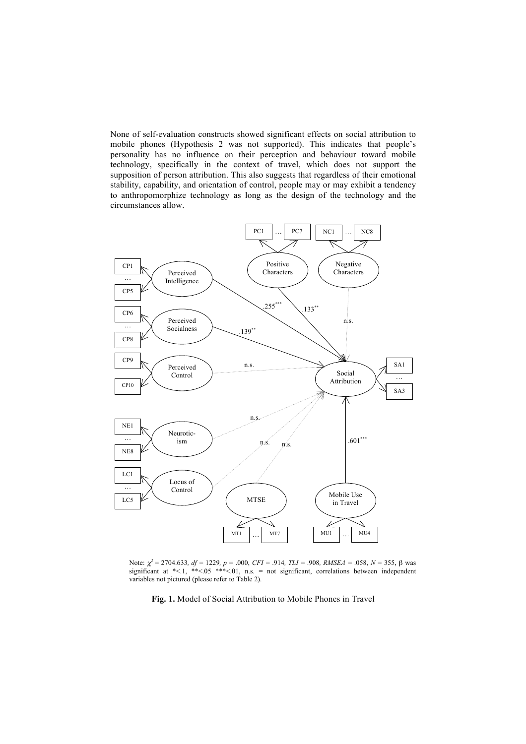None of self-evaluation constructs showed significant effects on social attribution to mobile phones (Hypothesis 2 was not supported). This indicates that people's personality has no influence on their perception and behaviour toward mobile technology, specifically in the context of travel, which does not support the supposition of person attribution. This also suggests that regardless of their emotional stability, capability, and orientation of control, people may or may exhibit a tendency to anthropomorphize technology as long as the design of the technology and the circumstances allow.



Note: <sup>χ</sup> *2 =* 2704.633*, df =* 1229*, p* = .000, *CFI =* .914*, TLI =* .908*, RMSEA =* .058, *N* = 355, β was significant at  $\ast$ <.1,  $\ast$  $\ast$ <.05  $\ast$  $\ast$  $\ast$ <.01, n.s. = not significant, correlations between independent variables not pictured (please refer to Table 2).

**Fig. 1.** Model of Social Attribution to Mobile Phones in Travel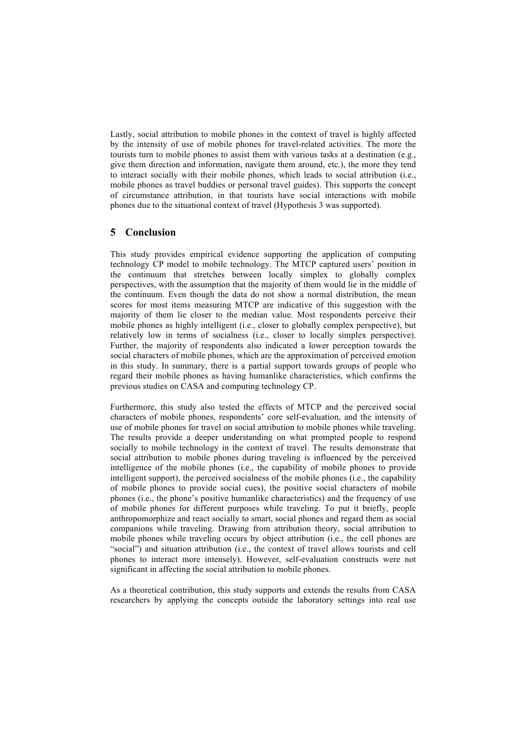Lastly, social attribution to mobile phones in the context of travel is highly affected by the intensity of use of mobile phones for travel-related activities. The more the tourists turn to mobile phones to assist them with various tasks at a destination (e.g., give them direction and information, navigate them around, etc.), the more they tend to interact socially with their mobile phones, which leads to social attribution (i.e., mobile phones as travel buddies or personal travel guides). This supports the concept of circumstance attribution, in that tourists have social interactions with mobile phones due to the situational context of travel (Hypothesis 3 was supported).

# **5 Conclusion**

This study provides empirical evidence supporting the application of computing technology CP model to mobile technology. The MTCP captured users' position in the continuum that stretches between locally simplex to globally complex perspectives, with the assumption that the majority of them would lie in the middle of the continuum. Even though the data do not show a normal distribution, the mean scores for most items measuring MTCP are indicative of this suggestion with the majority of them lie closer to the median value. Most respondents perceive their mobile phones as highly intelligent (i.e., closer to globally complex perspective), but relatively low in terms of socialness (i.e., closer to locally simplex perspective). Further, the majority of respondents also indicated a lower perception towards the social characters of mobile phones, which are the approximation of perceived emotion in this study. In summary, there is a partial support towards groups of people who regard their mobile phones as having humanlike characteristics, which confirms the previous studies on CASA and computing technology CP.

Furthermore, this study also tested the effects of MTCP and the perceived social characters of mobile phones, respondents' core self-evaluation, and the intensity of use of mobile phones for travel on social attribution to mobile phones while traveling. The results provide a deeper understanding on what prompted people to respond socially to mobile technology in the context of travel. The results demonstrate that social attribution to mobile phones during traveling is influenced by the perceived intelligence of the mobile phones (i.e., the capability of mobile phones to provide intelligent support), the perceived socialness of the mobile phones (i.e., the capability of mobile phones to provide social cues), the positive social characters of mobile phones (i.e., the phone's positive humanlike characteristics) and the frequency of use of mobile phones for different purposes while traveling. To put it briefly, people anthropomorphize and react socially to smart, social phones and regard them as social companions while traveling. Drawing from attribution theory, social attribution to mobile phones while traveling occurs by object attribution (i.e., the cell phones are "social") and situation attribution (i.e., the context of travel allows tourists and cell phones to interact more intensely). However, self-evaluation constructs were not significant in affecting the social attribution to mobile phones.

As a theoretical contribution, this study supports and extends the results from CASA researchers by applying the concepts outside the laboratory settings into real use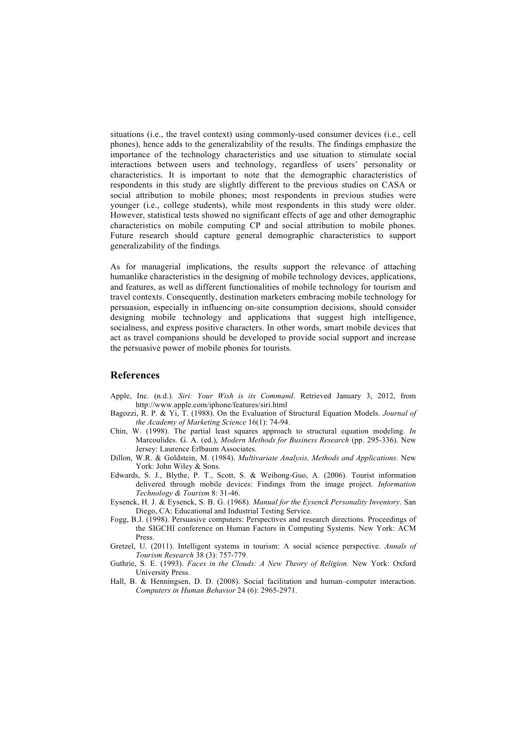situations (i.e., the travel context) using commonly-used consumer devices (i.e., cell phones), hence adds to the generalizability of the results. The findings emphasize the importance of the technology characteristics and use situation to stimulate social interactions between users and technology, regardless of users' personality or characteristics. It is important to note that the demographic characteristics of respondents in this study are slightly different to the previous studies on CASA or social attribution to mobile phones; most respondents in previous studies were younger (i.e., college students), while most respondents in this study were older. However, statistical tests showed no significant effects of age and other demographic characteristics on mobile computing CP and social attribution to mobile phones. Future research should capture general demographic characteristics to support generalizability of the findings.

As for managerial implications, the results support the relevance of attaching humanlike characteristics in the designing of mobile technology devices, applications, and features, as well as different functionalities of mobile technology for tourism and travel contexts. Consequently, destination marketers embracing mobile technology for persuasion, especially in influencing on-site consumption decisions, should consider designing mobile technology and applications that suggest high intelligence, socialness, and express positive characters. In other words, smart mobile devices that act as travel companions should be developed to provide social support and increase the persuasive power of mobile phones for tourists.

# **References**

- Apple, Inc. (n.d.). *Siri: Your Wish is its Command*. Retrieved January 3, 2012, from http://www.apple.com/iphone/features/siri.html
- Bagozzi, R. P. & Yi, T. (1988). On the Evaluation of Structural Equation Models. *Journal of the Academy of Marketing Science* 16(1): 74-94.
- Chin, W. (1998). The partial least squares approach to structural equation modeling. *In* Marcoulides. G. A. (ed.), *Modern Methods for Business Research* (pp. 295-336). New Jersey: Laurence Erlbaum Associates.
- Dillon, W.R. & Goldstein, M. (1984). *Multivariate Analysis, Methods and Applications*. New York: John Wiley & Sons.
- Edwards, S. J., Blythe, P. T., Scott, S. & Weihong-Guo, A. (2006). Tourist information delivered through mobile devices: Findings from the image project. *Information Technology & Tourism* 8: 31-46.
- Eysenck, H. J. & Eysenck, S. B. G. (1968). *Manual for the Eysenck Personality Inventory*. San Diego, CA: Educational and Industrial Testing Service.
- Fogg, B.J. (1998). Persuasive computers: Perspectives and research directions. Proceedings of the SIGCHI conference on Human Factors in Computing Systems. New York: ACM Press.
- Gretzel, U. (2011). Intelligent systems in tourism: A social science perspective. *Annals of Tourism Research* 38 (3): 757-779.
- Guthrie, S. E. (1993). *Faces in the Clouds: A New Theory of Religion.* New York: Oxford University Press.
- Hall, B. & Henningsen, D. D. (2008). Social facilitation and human–computer interaction. *Computers in Human Behavior* 24 (6): 2965-2971.